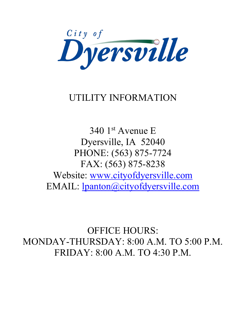

# UTILITY INFORMATION

340 1st Avenue E Dyersville, IA 52040 PHONE: (563) 875-7724 FAX: (563) 875-8238 Website: www.cityofdyersville.com EMAIL: lpanton@cityofdyersville.com

OFFICE HOURS: MONDAY-THURSDAY: 8:00 A.M. TO 5:00 P.M. FRIDAY: 8:00 A.M. TO 4:30 P.M.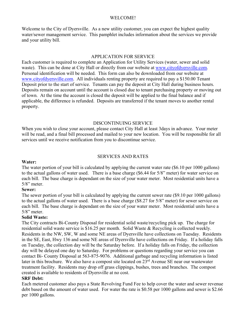#### WELCOME!

Welcome to the City of Dyersville. As a new utility customer, you can expect the highest quality water/sewer management service. This pamphlet includes information about the services we provide and your utility bill.

#### APPLICATION FOR SERVICE

Each customer is required to complete an Application for Utility Services (water, sewer and solid waste). This can be done at City Hall or directly from our website at www.cityofdyersville.com. Personal identification will be needed. This form can also be downloaded from our website at www.cityofdyersville.com. All individuals renting property are required to pay a \$150.00 Tenant Deposit prior to the start of service. Tenants can pay the deposit at City Hall during business hours. Deposits remain on account until the account is closed due to tenant purchasing property or moving out of town. At the time the account is closed the deposit will be applied to the final balance and if applicable, the difference is refunded. Deposits are transferred if the tenant moves to another rental property.

#### DISCONTINUING SERVICE

When you wish to close your account, please contact City Hall at least 3days in advance. Your meter will be read, and a final bill processed and mailed to your new location. You will be responsible for all services until we receive notification from you to discontinue service.

#### SERVICES AND RATES

#### **Water:**

The water portion of your bill is calculated by applying the current water rate (\$6.10 per 1000 gallons) to the actual gallons of water used. There is a base charge (\$6.44 for 5/8" meter) for water service on each bill. The base charge is dependant on the size of your water meter. Most residential units have a  $5/8$ " meter.

#### **Sewer:**

The sewer portion of your bill is calculated by applying the current sewer rate (\$9.10 per 1000 gallons) to the actual gallons of water used. There is a base charge (\$8.27 for 5/8" meter) for sewer service on each bill. The base charge is dependant on the size of your water meter. Most residential units have a 5/8" meter.

#### **Solid Waste:**

The City contracts Bi-County Disposal for residential solid waste/recycling pick up. The charge for residential solid waste service is \$16.25 per month. Solid Waste & Recycling is collected weekly. Residents in the NW, SW, W and some NE areas of Dyersville have collections on Tuesday. Residents in the SE, East, Hwy 136 and some NE areas of Dyersville have collections on Friday. If a holiday falls on Tuesday, the collection day will be the Saturday before. If a holiday falls on Friday, the collection day will be delayed one day to Saturday. For problems or questions regarding your service you can contact Bi- County Disposal at 563-875-9076. Additional garbage and recycling information is listed later in this brochure. We also have a compost site located on 23<sup>rd</sup> Avenue SE near our wastewater treatment facility. Residents may drop off grass clippings, bushes, trees and branches. The compost created is available to residents of Dyersville at no cost.

#### **SRF Debt:**

Each metered customer also pays a State Revolving Fund Fee to help cover the water and sewer revenue debt based on the amount of water used. For water the rate is \$0.58 per 1000 gallons and sewer is \$2.66 per 1000 gallons.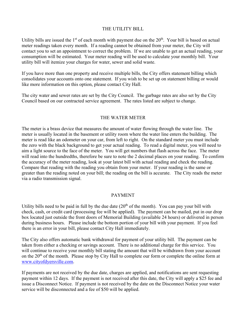### THE UTILITY BILL

Utility bills are issued the  $1<sup>st</sup>$  of each month with payment due on the  $20<sup>th</sup>$ . Your bill is based on actual meter readings taken every month. If a reading cannot be obtained from your meter, the City will contact you to set an appointment to correct the problem. If we are unable to get an actual reading, your consumption will be estimated. Your meter reading will be used to calculate your monthly bill. Your utility bill will itemize your charges for water, sewer and solid waste.

If you have more than one property and receive multiple bills, the City offers statement billing which consolidates your accounts onto one statement. If you wish to be set up on statement billing or would like more information on this option, please contact City Hall.

The city water and sewer rates are set by the City Council. The garbage rates are also set by the City Council based on our contracted service agreement. The rates listed are subject to change.

### THE WATER METER

The meter is a brass device that measures the amount of water flowing through the water line. The meter is usually located in the basement or utility room where the water line enters the building. The meter is read like an odometer on your car, from left to right. On the standard meter you must include the zero with the black background to get your actual reading. To read a digital meter, you will need to aim a light source to the face of the meter. You will get numbers that flash across the face. The meter will read into the hundredths, therefore be sure to note the 2 decimal places on your reading. To confirm the accuracy of the meter reading, look at your latest bill with actual reading and check the reading. Compare that reading with the reading you obtain from your meter. If your reading is the same or greater than the reading noted on your bill; the reading on the bill is accurate. The City reads the meter via a radio transmission signal.

#### PAYMENT

Utility bills need to be paid in full by the due date  $(20<sup>th</sup>$  of the month). You can pay your bill with check, cash, or credit card (processing fee will be applied). The payment can be mailed, put in our drop box located just outside the front doors of Memorial Building (available 24 hours) or delivered in person during business hours. Please include the bottom portion of your bill with your payment. If you feel there is an error in your bill, please contact City Hall immediately.

The City also offers automatic bank withdrawal for payment of your utility bill. The payment can be taken from either a checking or savings account. There is no additional charge for this service. You will continue to receive your monthly bill stating the amount that will be withdrawn from your account on the 20th of the month. Please stop by City Hall to complete our form or complete the online form at www.cityofdyersville.com.

If payments are not received by the due date, charges are applied, and notifications are sent requesting payment within 12 days. If the payment is not received after this date, the City will apply a \$25 fee and issue a Disconnect Notice. If payment is not received by the date on the Disconnect Notice your water service will be disconnected and a fee of \$50 will be applied.